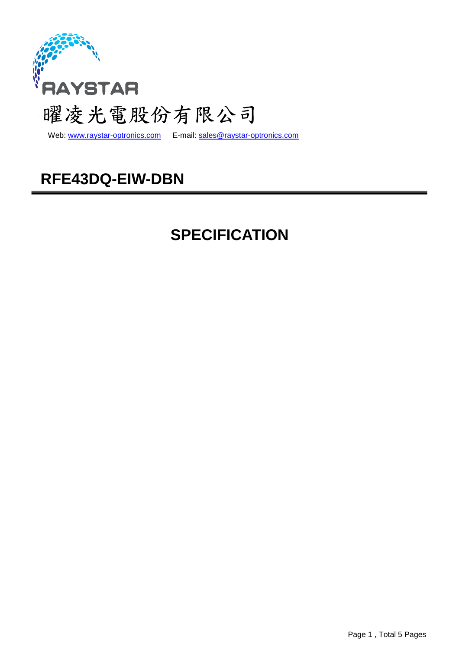

Web: www.raystar-optronics.com E-mail: sales@raystar-optronics.com

## **RFE43DQ-EIW-DBN**

## **SPECIFICATION**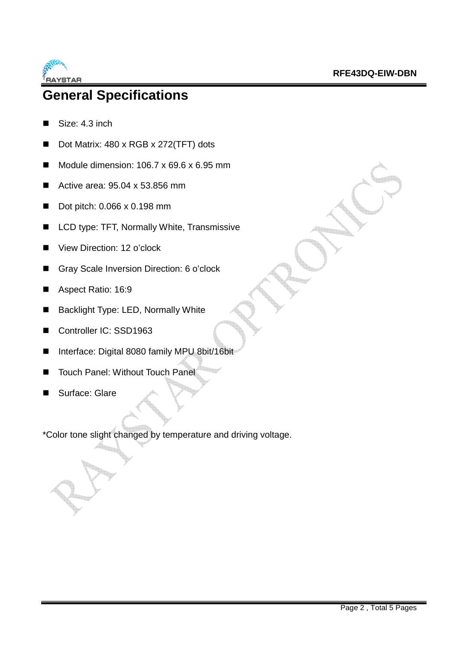

### **General Specifications**

- Size: 4.3 inch
- Dot Matrix: 480 x RGB x 272(TFT) dots
- $\blacksquare$  Module dimension: 106.7 x 69.6 x 6.95 mm
- Active area: 95.04 x 53.856 mm
- Dot pitch: 0.066 x 0.198 mm
- LCD type: TFT, Normally White, Transmissive
- View Direction: 12 o'clock
- Gray Scale Inversion Direction: 6 o'clock
- Aspect Ratio: 16:9
- Backlight Type: LED, Normally White
- Controller IC: SSD1963
- Interface: Digital 8080 family MPU 8bit/16bit
- Touch Panel: Without Touch Panel
- Surface: Glare

\*Color tone slight changed by temperature and driving voltage.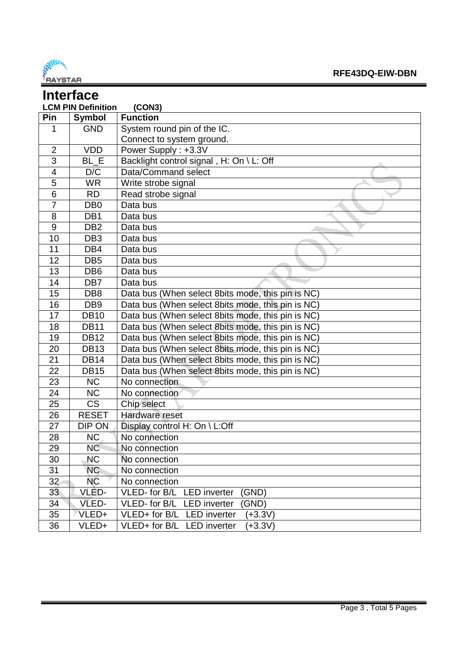

| <b>Interface</b>                    |                        |                                                   |  |  |  |  |
|-------------------------------------|------------------------|---------------------------------------------------|--|--|--|--|
| <b>LCM PIN Definition</b><br>(CON3) |                        |                                                   |  |  |  |  |
| Pin                                 | <b>Symbol</b>          | <b>Function</b>                                   |  |  |  |  |
| 1                                   | <b>GND</b>             | System round pin of the IC.                       |  |  |  |  |
|                                     |                        | Connect to system ground.                         |  |  |  |  |
| $\overline{2}$                      | <b>VDD</b>             | Power Supply: +3.3V                               |  |  |  |  |
| 3                                   | BL E                   | Backlight control signal, H: On \ L: Off          |  |  |  |  |
| $\overline{4}$                      | D/C                    | Data/Command select                               |  |  |  |  |
| 5                                   | <b>WR</b>              | Write strobe signal                               |  |  |  |  |
| 6                                   | <b>RD</b>              | Read strobe signal                                |  |  |  |  |
| $\overline{7}$                      | DB <sub>0</sub>        | Data bus                                          |  |  |  |  |
| 8                                   | DB <sub>1</sub>        | Data bus                                          |  |  |  |  |
| 9                                   | DB <sub>2</sub>        | Data bus                                          |  |  |  |  |
| 10                                  | DB <sub>3</sub>        | Data bus                                          |  |  |  |  |
| 11                                  | DB4                    | Data bus                                          |  |  |  |  |
| 12                                  | DB <sub>5</sub>        | Data bus                                          |  |  |  |  |
| 13                                  | DB <sub>6</sub>        | Data bus                                          |  |  |  |  |
| 14                                  | DB7                    | Data bus                                          |  |  |  |  |
| 15                                  | DB <sub>8</sub>        | Data bus (When select 8bits mode, this pin is NC) |  |  |  |  |
| 16                                  | DB <sub>9</sub>        | Data bus (When select 8bits mode, this pin is NC) |  |  |  |  |
| 17                                  | <b>DB10</b>            | Data bus (When select 8bits mode, this pin is NC) |  |  |  |  |
| 18                                  | <b>DB11</b>            | Data bus (When select 8bits mode, this pin is NC) |  |  |  |  |
| 19                                  | $\overline{DB}$ 12     | Data bus (When select 8bits mode, this pin is NC) |  |  |  |  |
| 20                                  | <b>DB13</b>            | Data bus (When select 8bits mode, this pin is NC) |  |  |  |  |
| 21                                  | <b>DB14</b>            | Data bus (When select 8bits mode, this pin is NC) |  |  |  |  |
| 22                                  | <b>DB15</b>            | Data bus (When select 8bits mode, this pin is NC) |  |  |  |  |
| 23                                  | <b>NC</b>              | No connection                                     |  |  |  |  |
| 24                                  | <b>NC</b>              | No connection                                     |  |  |  |  |
| 25                                  | $\overline{\text{CS}}$ | Chip select                                       |  |  |  |  |
| 26                                  | <b>RESET</b>           | Hardware reset                                    |  |  |  |  |
| 27                                  | DIP ON                 | Display control H: On \ L:Off                     |  |  |  |  |
| 28                                  | NC                     | No connection                                     |  |  |  |  |
| 29                                  | NC                     | No connection                                     |  |  |  |  |
| 30                                  | <b>NC</b>              | No connection                                     |  |  |  |  |
| 31                                  | <b>NC</b>              | No connection                                     |  |  |  |  |
| 32                                  | <b>NC</b>              | No connection                                     |  |  |  |  |
| 33                                  | VLED-                  | VLED- for B/L LED inverter<br>(GND)               |  |  |  |  |
| 34                                  | VLED-                  | VLED- for B/L<br><b>LED</b> inverter<br>(GND)     |  |  |  |  |
| 35                                  | VLED+                  | VLED+ for B/L LED inverter<br>$(+3.3V)$           |  |  |  |  |
| 36                                  | VLED+                  | VLED+ for B/L LED inverter<br>$(+3.3V)$           |  |  |  |  |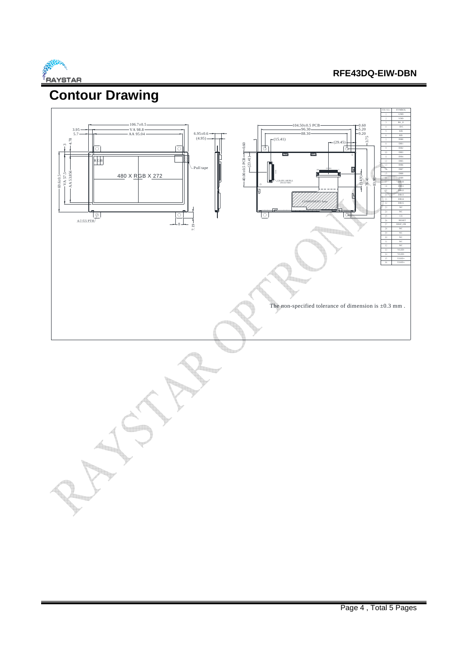

# **Contour Drawing**